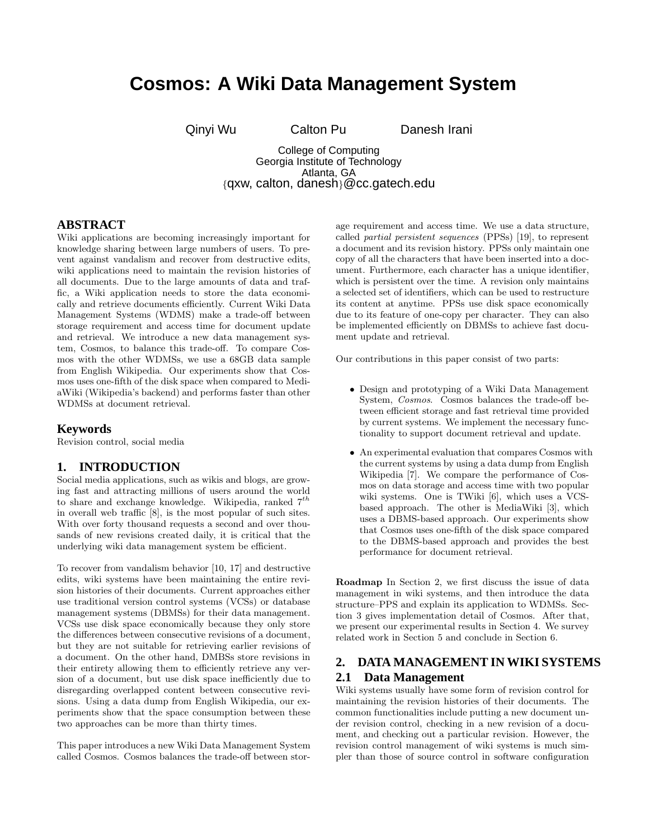# **Cosmos: A Wiki Data Management System**

Qinyi Wu Calton Pu Danesh Irani

College of Computing Georgia Institute of Technology Atlanta, GA {qxw, calton, danesh}@cc.gatech.edu

## **ABSTRACT**

Wiki applications are becoming increasingly important for knowledge sharing between large numbers of users. To prevent against vandalism and recover from destructive edits, wiki applications need to maintain the revision histories of all documents. Due to the large amounts of data and traffic, a Wiki application needs to store the data economically and retrieve documents efficiently. Current Wiki Data Management Systems (WDMS) make a trade-off between storage requirement and access time for document update and retrieval. We introduce a new data management system, Cosmos, to balance this trade-off. To compare Cosmos with the other WDMSs, we use a 68GB data sample from English Wikipedia. Our experiments show that Cosmos uses one-fifth of the disk space when compared to MediaWiki (Wikipedia's backend) and performs faster than other WDMSs at document retrieval.

#### **Keywords**

Revision control, social media

### **1. INTRODUCTION**

Social media applications, such as wikis and blogs, are growing fast and attracting millions of users around the world to share and exchange knowledge. Wikipedia, ranked 7*th* in overall web traffic [8], is the most popular of such sites. With over forty thousand requests a second and over thousands of new revisions created daily, it is critical that the underlying wiki data management system be efficient.

To recover from vandalism behavior [10, 17] and destructive edits, wiki systems have been maintaining the entire revision histories of their documents. Current approaches either use traditional version control systems (VCSs) or database management systems (DBMSs) for their data management. VCSs use disk space economically because they only store the differences between consecutive revisions of a document, but they are not suitable for retrieving earlier revisions of a document. On the other hand, DMBSs store revisions in their entirety allowing them to efficiently retrieve any version of a document, but use disk space inefficiently due to disregarding overlapped content between consecutive revisions. Using a data dump from English Wikipedia, our experiments show that the space consumption between these two approaches can be more than thirty times.

This paper introduces a new Wiki Data Management System called Cosmos. Cosmos balances the trade-off between storage requirement and access time. We use a data structure, called partial persistent sequences (PPSs) [19], to represent a document and its revision history. PPSs only maintain one copy of all the characters that have been inserted into a document. Furthermore, each character has a unique identifier, which is persistent over the time. A revision only maintains a selected set of identifiers, which can be used to restructure its content at anytime. PPSs use disk space economically due to its feature of one-copy per character. They can also be implemented efficiently on DBMSs to achieve fast document update and retrieval.

Our contributions in this paper consist of two parts:

- Design and prototyping of a Wiki Data Management System, Cosmos. Cosmos balances the trade-off between efficient storage and fast retrieval time provided by current systems. We implement the necessary functionality to support document retrieval and update.
- An experimental evaluation that compares Cosmos with the current systems by using a data dump from English Wikipedia [7]. We compare the performance of Cosmos on data storage and access time with two popular wiki systems. One is TWiki [6], which uses a VCSbased approach. The other is MediaWiki [3], which uses a DBMS-based approach. Our experiments show that Cosmos uses one-fifth of the disk space compared to the DBMS-based approach and provides the best performance for document retrieval.

**Roadmap** In Section 2, we first discuss the issue of data management in wiki systems, and then introduce the data structure–PPS and explain its application to WDMSs. Section 3 gives implementation detail of Cosmos. After that, we present our experimental results in Section 4. We survey related work in Section 5 and conclude in Section 6.

# **2. DATA MANAGEMENT IN WIKI SYSTEMS 2.1 Data Management**

Wiki systems usually have some form of revision control for maintaining the revision histories of their documents. The common functionalities include putting a new document under revision control, checking in a new revision of a document, and checking out a particular revision. However, the revision control management of wiki systems is much simpler than those of source control in software configuration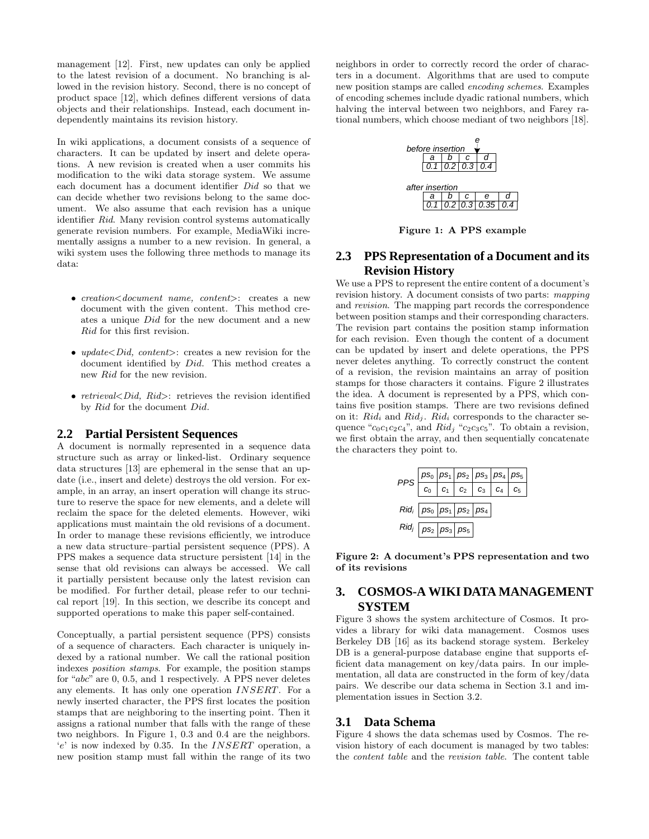management [12]. First, new updates can only be applied to the latest revision of a document. No branching is allowed in the revision history. Second, there is no concept of product space [12], which defines different versions of data objects and their relationships. Instead, each document independently maintains its revision history.

In wiki applications, a document consists of a sequence of characters. It can be updated by insert and delete operations. A new revision is created when a user commits his modification to the wiki data storage system. We assume each document has a document identifier Did so that we can decide whether two revisions belong to the same document. We also assume that each revision has a unique identifier Rid. Many revision control systems automatically generate revision numbers. For example, MediaWiki incrementally assigns a number to a new revision. In general, a wiki system uses the following three methods to manage its data:

- creation*<*document name, content*>*: creates a new document with the given content. This method creates a unique *Did* for the new document and a new *Rid* for this first revision.
- *update<Did, content>*: creates a new revision for the document identified by *Did*. This method creates a new *Rid* for the new revision.
- retrieval*<*Did, Rid*>*: retrieves the revision identified by *Rid* for the document *Did*.

#### **2.2 Partial Persistent Sequences**

A document is normally represented in a sequence data structure such as array or linked-list. Ordinary sequence data structures [13] are ephemeral in the sense that an update (i.e., insert and delete) destroys the old version. For example, in an array, an insert operation will change its structure to reserve the space for new elements, and a delete will reclaim the space for the deleted elements. However, wiki applications must maintain the old revisions of a document. In order to manage these revisions efficiently, we introduce a new data structure–partial persistent sequence (PPS). A PPS makes a sequence data structure persistent [14] in the sense that old revisions can always be accessed. We call it partially persistent because only the latest revision can be modified. For further detail, please refer to our technical report [19]. In this section, we describe its concept and supported operations to make this paper self-contained.

Conceptually, a partial persistent sequence (PPS) consists of a sequence of characters. Each character is uniquely indexed by a rational number. We call the rational position indexes position stamps. For example, the position stamps for "*abc*" are 0, 0*.*5, and 1 respectively. A PPS never deletes any elements. It has only one operation *INSERT*. For a newly inserted character, the PPS first locates the position stamps that are neighboring to the inserting point. Then it assigns a rational number that falls with the range of these two neighbors. In Figure 1, 0*.*3 and 0*.*4 are the neighbors. '*e*' is now indexed by 0*.*35. In the *INSERT* operation, a new position stamp must fall within the range of its two

neighbors in order to correctly record the order of characters in a document. Algorithms that are used to compute new position stamps are called encoding schemes. Examples of encoding schemes include dyadic rational numbers, which halving the interval between two neighbors, and Farey rational numbers, which choose mediant of two neighbors [18].



**Figure 1: A PPS example**

# **2.3 PPS Representation of a Document and its Revision History**

We use a PPS to represent the entire content of a document's revision history. A document consists of two parts: mapping and revision. The mapping part records the correspondence between position stamps and their corresponding characters. The revision part contains the position stamp information for each revision. Even though the content of a document can be updated by insert and delete operations, the PPS never deletes anything. To correctly construct the content of a revision, the revision maintains an array of position stamps for those characters it contains. Figure 2 illustrates the idea. A document is represented by a PPS, which contains five position stamps. There are two revisions defined on it:  $Rid_i$  and  $Rid_i$ .  $Rid_i$  corresponds to the character sequence " $c_0c_1c_2c_4$ ", and  $Rid_i$  " $c_2c_3c_5$ ". To obtain a revision, we first obtain the array, and then sequentially concatenate the characters they point to.



**Figure 2: A document's PPS representation and two of its revisions**

# **3. COSMOS-A WIKI DATA MANAGEMENT SYSTEM**

Figure 3 shows the system architecture of Cosmos. It provides a library for wiki data management. Cosmos uses Berkeley DB [16] as its backend storage system. Berkeley DB is a general-purpose database engine that supports efficient data management on key/data pairs. In our implementation, all data are constructed in the form of key/data pairs. We describe our data schema in Section 3.1 and implementation issues in Section 3.2.

## **3.1 Data Schema**

Figure 4 shows the data schemas used by Cosmos. The revision history of each document is managed by two tables: the content table and the revision table. The content table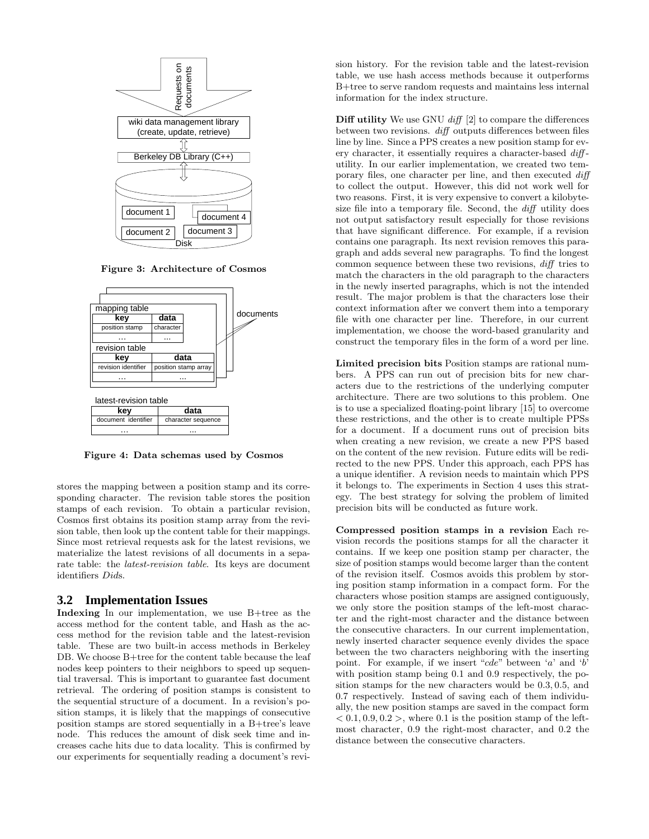

**Figure 3: Architecture of Cosmos**



**Figure 4: Data schemas used by Cosmos**

stores the mapping between a position stamp and its corresponding character. The revision table stores the position stamps of each revision. To obtain a particular revision, Cosmos first obtains its position stamp array from the revision table, then look up the content table for their mappings. Since most retrieval requests ask for the latest revisions, we materialize the latest revisions of all documents in a separate table: the latest-revision table. Its keys are document identifiers *Did*s.

#### **3.2 Implementation Issues**

**Indexing** In our implementation, we use B+tree as the access method for the content table, and Hash as the access method for the revision table and the latest-revision table. These are two built-in access methods in Berkeley DB. We choose B+tree for the content table because the leaf nodes keep pointers to their neighbors to speed up sequential traversal. This is important to guarantee fast document retrieval. The ordering of position stamps is consistent to the sequential structure of a document. In a revision's position stamps, it is likely that the mappings of consecutive position stamps are stored sequentially in a B+tree's leave node. This reduces the amount of disk seek time and increases cache hits due to data locality. This is confirmed by our experiments for sequentially reading a document's revision history. For the revision table and the latest-revision table, we use hash access methods because it outperforms B+tree to serve random requests and maintains less internal information for the index structure.

**Diff utility** We use GNU diff [2] to compare the differences between two revisions. diff outputs differences between files line by line. Since a PPS creates a new position stamp for every character, it essentially requires a character-based  $\text{diff}$ utility. In our earlier implementation, we created two temporary files, one character per line, and then executed diff to collect the output. However, this did not work well for two reasons. First, it is very expensive to convert a kilobytesize file into a temporary file. Second, the *diff* utility does not output satisfactory result especially for those revisions that have significant difference. For example, if a revision contains one paragraph. Its next revision removes this paragraph and adds several new paragraphs. To find the longest common sequence between these two revisions, diff tries to match the characters in the old paragraph to the characters in the newly inserted paragraphs, which is not the intended result. The major problem is that the characters lose their context information after we convert them into a temporary file with one character per line. Therefore, in our current implementation, we choose the word-based granularity and construct the temporary files in the form of a word per line.

**Limited precision bits** Position stamps are rational numbers. A PPS can run out of precision bits for new characters due to the restrictions of the underlying computer architecture. There are two solutions to this problem. One is to use a specialized floating-point library [15] to overcome these restrictions, and the other is to create multiple PPSs for a document. If a document runs out of precision bits when creating a new revision, we create a new PPS based on the content of the new revision. Future edits will be redirected to the new PPS. Under this approach, each PPS has a unique identifier. A revision needs to maintain which PPS it belongs to. The experiments in Section 4 uses this strategy. The best strategy for solving the problem of limited precision bits will be conducted as future work.

**Compressed position stamps in a revision** Each revision records the positions stamps for all the character it contains. If we keep one position stamp per character, the size of position stamps would become larger than the content of the revision itself. Cosmos avoids this problem by storing position stamp information in a compact form. For the characters whose position stamps are assigned contiguously, we only store the position stamps of the left-most character and the right-most character and the distance between the consecutive characters. In our current implementation, newly inserted character sequence evenly divides the space between the two characters neighboring with the inserting point. For example, if we insert "*cde*" between '*a*' and '*b*' with position stamp being 0*.*1 and 0*.*9 respectively, the position stamps for the new characters would be 0*.*3*,* 0*.*5, and 0*.*7 respectively. Instead of saving each of them individually, the new position stamps are saved in the compact form  $< 0.1, 0.9, 0.2$ , where 0.1 is the position stamp of the leftmost character, 0*.*9 the right-most character, and 0*.*2 the distance between the consecutive characters.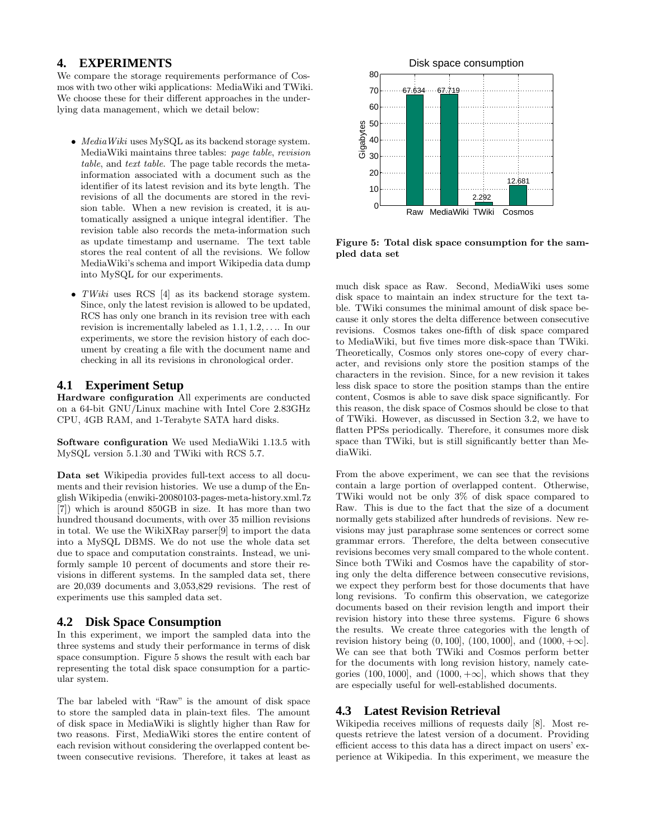## **4. EXPERIMENTS**

We compare the storage requirements performance of Cosmos with two other wiki applications: MediaWiki and TWiki. We choose these for their different approaches in the underlying data management, which we detail below:

- MediaWiki uses MySQL as its backend storage system. MediaWiki maintains three tables: page table, revision table, and text table. The page table records the metainformation associated with a document such as the identifier of its latest revision and its byte length. The revisions of all the documents are stored in the revision table. When a new revision is created, it is automatically assigned a unique integral identifier. The revision table also records the meta-information such as update timestamp and username. The text table stores the real content of all the revisions. We follow MediaWiki's schema and import Wikipedia data dump into MySQL for our experiments.
- TWiki uses RCS [4] as its backend storage system. Since, only the latest revision is allowed to be updated, RCS has only one branch in its revision tree with each revision is incrementally labeled as 1*.*1*,* 1*.*2*,...*. In our experiments, we store the revision history of each document by creating a file with the document name and checking in all its revisions in chronological order.

## **4.1 Experiment Setup**

**Hardware configuration** All experiments are conducted on a 64-bit GNU/Linux machine with Intel Core 2.83GHz CPU, 4GB RAM, and 1-Terabyte SATA hard disks.

**Software configuration** We used MediaWiki 1.13.5 with MySQL version 5.1.30 and TWiki with RCS 5.7.

**Data set** Wikipedia provides full-text access to all documents and their revision histories. We use a dump of the English Wikipedia (enwiki-20080103-pages-meta-history.xml.7z [7]) which is around 850GB in size. It has more than two hundred thousand documents, with over 35 million revisions in total. We use the WikiXRay parser[9] to import the data into a MySQL DBMS. We do not use the whole data set due to space and computation constraints. Instead, we uniformly sample 10 percent of documents and store their revisions in different systems. In the sampled data set, there are 20,039 documents and 3,053,829 revisions. The rest of experiments use this sampled data set.

## **4.2 Disk Space Consumption**

In this experiment, we import the sampled data into the three systems and study their performance in terms of disk space consumption. Figure 5 shows the result with each bar representing the total disk space consumption for a particular system.

The bar labeled with "Raw" is the amount of disk space to store the sampled data in plain-text files. The amount of disk space in MediaWiki is slightly higher than Raw for two reasons. First, MediaWiki stores the entire content of each revision without considering the overlapped content between consecutive revisions. Therefore, it takes at least as



**Figure 5: Total disk space consumption for the sampled data set**

much disk space as Raw. Second, MediaWiki uses some disk space to maintain an index structure for the text table. TWiki consumes the minimal amount of disk space because it only stores the delta difference between consecutive revisions. Cosmos takes one-fifth of disk space compared to MediaWiki, but five times more disk-space than TWiki. Theoretically, Cosmos only stores one-copy of every character, and revisions only store the position stamps of the characters in the revision. Since, for a new revision it takes less disk space to store the position stamps than the entire content, Cosmos is able to save disk space significantly. For this reason, the disk space of Cosmos should be close to that of TWiki. However, as discussed in Section 3.2, we have to flatten PPSs periodically. Therefore, it consumes more disk space than TWiki, but is still significantly better than MediaWiki.

From the above experiment, we can see that the revisions contain a large portion of overlapped content. Otherwise, TWiki would not be only 3% of disk space compared to Raw. This is due to the fact that the size of a document normally gets stabilized after hundreds of revisions. New revisions may just paraphrase some sentences or correct some grammar errors. Therefore, the delta between consecutive revisions becomes very small compared to the whole content. Since both TWiki and Cosmos have the capability of storing only the delta difference between consecutive revisions, we expect they perform best for those documents that have long revisions. To confirm this observation, we categorize documents based on their revision length and import their revision history into these three systems. Figure 6 shows the results. We create three categories with the length of revision history being  $(0, 100]$ ,  $(100, 1000]$ , and  $(1000, +\infty]$ . We can see that both TWiki and Cosmos perform better for the documents with long revision history, namely categories (100, 1000), and (1000,  $+\infty$ ), which shows that they are especially useful for well-established documents.

# **4.3 Latest Revision Retrieval**

Wikipedia receives millions of requests daily [8]. Most requests retrieve the latest version of a document. Providing efficient access to this data has a direct impact on users' experience at Wikipedia. In this experiment, we measure the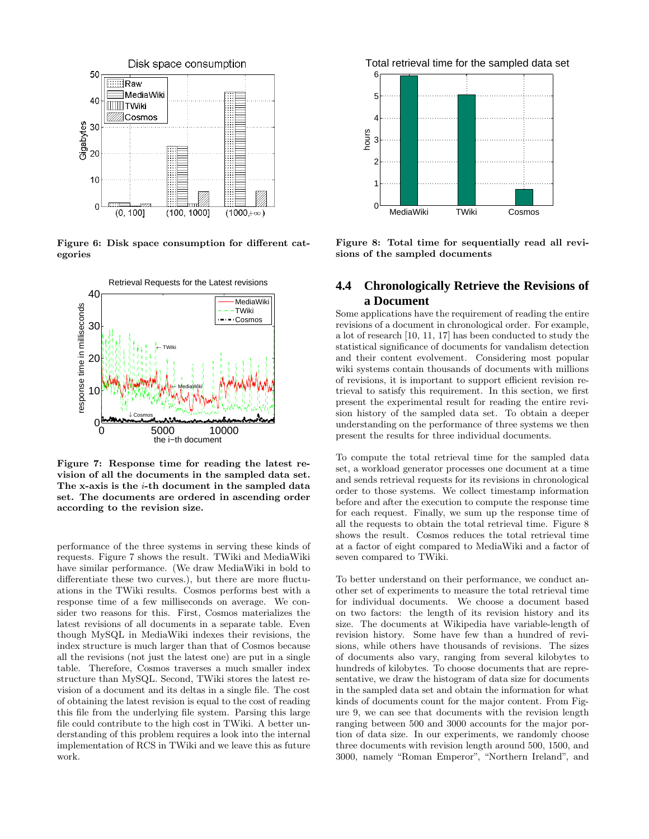

**Figure 6: Disk space consumption for different categories**



**Figure 7: Response time for reading the latest revision of all the documents in the sampled data set. The x-axis is the** *i***-th document in the sampled data set. The documents are ordered in ascending order according to the revision size.**

performance of the three systems in serving these kinds of requests. Figure 7 shows the result. TWiki and MediaWiki have similar performance. (We draw MediaWiki in bold to differentiate these two curves.), but there are more fluctuations in the TWiki results. Cosmos performs best with a response time of a few milliseconds on average. We consider two reasons for this. First, Cosmos materializes the latest revisions of all documents in a separate table. Even though MySQL in MediaWiki indexes their revisions, the index structure is much larger than that of Cosmos because all the revisions (not just the latest one) are put in a single table. Therefore, Cosmos traverses a much smaller index structure than MySQL. Second, TWiki stores the latest revision of a document and its deltas in a single file. The cost of obtaining the latest revision is equal to the cost of reading this file from the underlying file system. Parsing this large file could contribute to the high cost in TWiki. A better understanding of this problem requires a look into the internal implementation of RCS in TWiki and we leave this as future work.

Total retrieval time for the sampled data set



**Figure 8: Total time for sequentially read all revisions of the sampled documents**

# **4.4 Chronologically Retrieve the Revisions of a Document**

Some applications have the requirement of reading the entire revisions of a document in chronological order. For example, a lot of research [10, 11, 17] has been conducted to study the statistical significance of documents for vandalism detection and their content evolvement. Considering most popular wiki systems contain thousands of documents with millions of revisions, it is important to support efficient revision retrieval to satisfy this requirement. In this section, we first present the experimental result for reading the entire revision history of the sampled data set. To obtain a deeper understanding on the performance of three systems we then present the results for three individual documents.

To compute the total retrieval time for the sampled data set, a workload generator processes one document at a time and sends retrieval requests for its revisions in chronological order to those systems. We collect timestamp information before and after the execution to compute the response time for each request. Finally, we sum up the response time of all the requests to obtain the total retrieval time. Figure 8 shows the result. Cosmos reduces the total retrieval time at a factor of eight compared to MediaWiki and a factor of seven compared to TWiki.

To better understand on their performance, we conduct another set of experiments to measure the total retrieval time for individual documents. We choose a document based on two factors: the length of its revision history and its size. The documents at Wikipedia have variable-length of revision history. Some have few than a hundred of revisions, while others have thousands of revisions. The sizes of documents also vary, ranging from several kilobytes to hundreds of kilobytes. To choose documents that are representative, we draw the histogram of data size for documents in the sampled data set and obtain the information for what kinds of documents count for the major content. From Figure 9, we can see that documents with the revision length ranging between 500 and 3000 accounts for the major portion of data size. In our experiments, we randomly choose three documents with revision length around 500, 1500, and 3000, namely "Roman Emperor", "Northern Ireland", and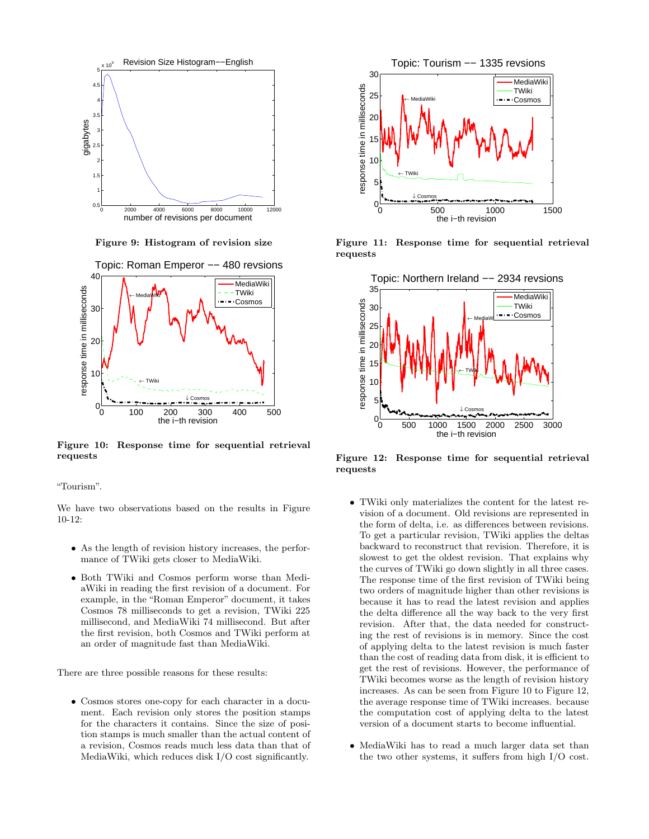

**Figure 9: Histogram of revision size**



**Figure 10: Response time for sequential retrieval requests**

"Tourism".

We have two observations based on the results in Figure 10-12:

- As the length of revision history increases, the performance of TWiki gets closer to MediaWiki.
- Both TWiki and Cosmos perform worse than MediaWiki in reading the first revision of a document. For example, in the "Roman Emperor" document, it takes Cosmos 78 milliseconds to get a revision, TWiki 225 millisecond, and MediaWiki 74 millisecond. But after the first revision, both Cosmos and TWiki perform at an order of magnitude fast than MediaWiki.

There are three possible reasons for these results:

• Cosmos stores one-copy for each character in a document. Each revision only stores the position stamps for the characters it contains. Since the size of position stamps is much smaller than the actual content of a revision, Cosmos reads much less data than that of MediaWiki, which reduces disk I/O cost significantly.



**Figure 11: Response time for sequential retrieval requests**



**Figure 12: Response time for sequential retrieval requests**

- TWiki only materializes the content for the latest revision of a document. Old revisions are represented in the form of delta, i.e. as differences between revisions. To get a particular revision, TWiki applies the deltas backward to reconstruct that revision. Therefore, it is slowest to get the oldest revision. That explains why the curves of TWiki go down slightly in all three cases. The response time of the first revision of TWiki being two orders of magnitude higher than other revisions is because it has to read the latest revision and applies the delta difference all the way back to the very first revision. After that, the data needed for constructing the rest of revisions is in memory. Since the cost of applying delta to the latest revision is much faster than the cost of reading data from disk, it is efficient to get the rest of revisions. However, the performance of TWiki becomes worse as the length of revision history increases. As can be seen from Figure 10 to Figure 12, the average response time of TWiki increases. because the computation cost of applying delta to the latest version of a document starts to become influential.
- MediaWiki has to read a much larger data set than the two other systems, it suffers from high I/O cost.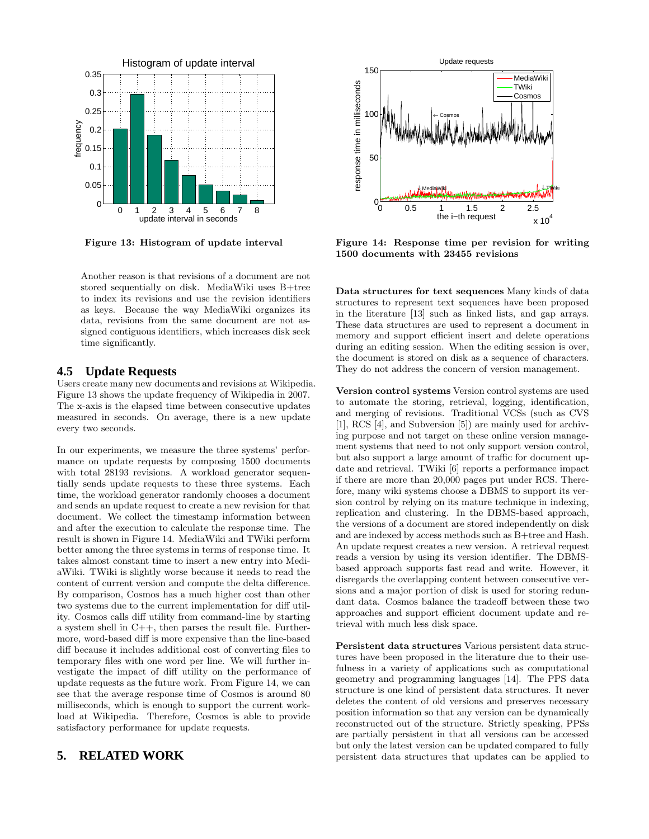

**Figure 13: Histogram of update interval**

Another reason is that revisions of a document are not stored sequentially on disk. MediaWiki uses B+tree to index its revisions and use the revision identifiers as keys. Because the way MediaWiki organizes its data, revisions from the same document are not assigned contiguous identifiers, which increases disk seek time significantly.

## **4.5 Update Requests**

Users create many new documents and revisions at Wikipedia. Figure 13 shows the update frequency of Wikipedia in 2007. The x-axis is the elapsed time between consecutive updates measured in seconds. On average, there is a new update every two seconds.

In our experiments, we measure the three systems' performance on update requests by composing 1500 documents with total 28193 revisions. A workload generator sequentially sends update requests to these three systems. Each time, the workload generator randomly chooses a document and sends an update request to create a new revision for that document. We collect the timestamp information between and after the execution to calculate the response time. The result is shown in Figure 14. MediaWiki and TWiki perform better among the three systems in terms of response time. It takes almost constant time to insert a new entry into MediaWiki. TWiki is slightly worse because it needs to read the content of current version and compute the delta difference. By comparison, Cosmos has a much higher cost than other two systems due to the current implementation for diff utility. Cosmos calls diff utility from command-line by starting a system shell in C++, then parses the result file. Furthermore, word-based diff is more expensive than the line-based diff because it includes additional cost of converting files to temporary files with one word per line. We will further investigate the impact of diff utility on the performance of update requests as the future work. From Figure 14, we can see that the average response time of Cosmos is around 80 milliseconds, which is enough to support the current workload at Wikipedia. Therefore, Cosmos is able to provide satisfactory performance for update requests.

### **5. RELATED WORK**



**Figure 14: Response time per revision for writing 1500 documents with 23455 revisions**

**Data structures for text sequences** Many kinds of data structures to represent text sequences have been proposed in the literature [13] such as linked lists, and gap arrays. These data structures are used to represent a document in memory and support efficient insert and delete operations during an editing session. When the editing session is over, the document is stored on disk as a sequence of characters. They do not address the concern of version management.

**Version control systems** Version control systems are used to automate the storing, retrieval, logging, identification, and merging of revisions. Traditional VCSs (such as CVS [1], RCS [4], and Subversion [5]) are mainly used for archiving purpose and not target on these online version management systems that need to not only support version control, but also support a large amount of traffic for document update and retrieval. TWiki [6] reports a performance impact if there are more than 20,000 pages put under RCS. Therefore, many wiki systems choose a DBMS to support its version control by relying on its mature technique in indexing, replication and clustering. In the DBMS-based approach, the versions of a document are stored independently on disk and are indexed by access methods such as B+tree and Hash. An update request creates a new version. A retrieval request reads a version by using its version identifier. The DBMSbased approach supports fast read and write. However, it disregards the overlapping content between consecutive versions and a major portion of disk is used for storing redundant data. Cosmos balance the tradeoff between these two approaches and support efficient document update and retrieval with much less disk space.

**Persistent data structures** Various persistent data structures have been proposed in the literature due to their usefulness in a variety of applications such as computational geometry and programming languages [14]. The PPS data structure is one kind of persistent data structures. It never deletes the content of old versions and preserves necessary position information so that any version can be dynamically reconstructed out of the structure. Strictly speaking, PPSs are partially persistent in that all versions can be accessed but only the latest version can be updated compared to fully persistent data structures that updates can be applied to